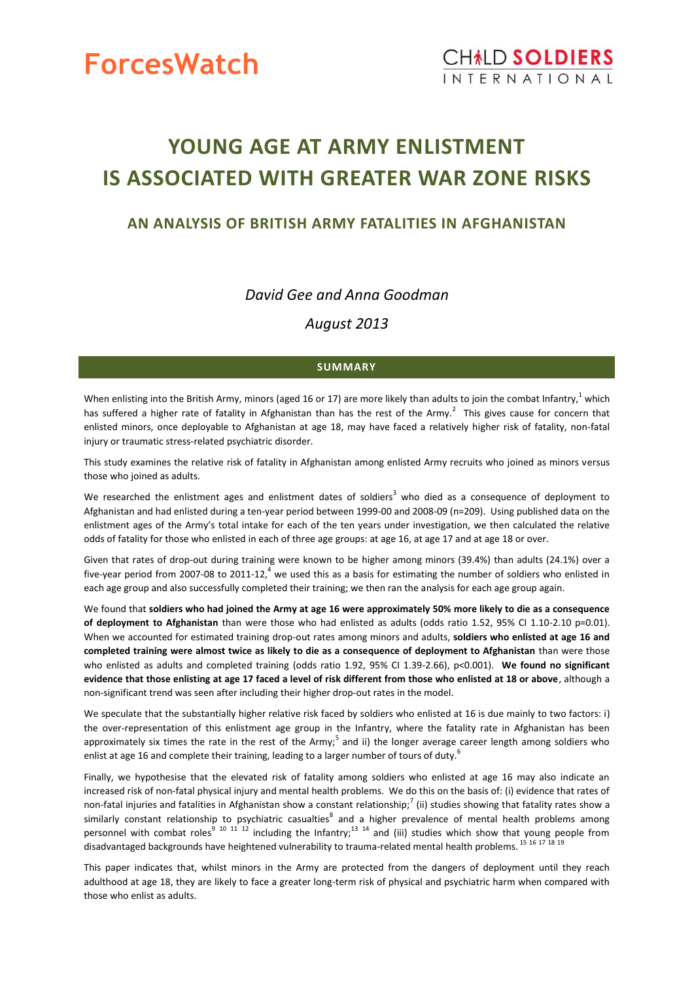

# **YOUNG AGE AT ARMY ENLISTMENT IS ASSOCIATED WITH GREATER WAR ZONE RISKS**

# **AN ANALYSIS OF BRITISH ARMY FATALITIES IN AFGHANISTAN**

*David Gee and Anna Goodman*

*August 2013*

## **SUMMARY**

When enlisting into the British Army, minors (aged 16 or 17) are more likely than adults to join the combat Infantry,<sup>1</sup> which has suffered a higher rate of fatality in Afghanistan than has the rest of the Army. $^2$  This gives cause for concern that enlisted minors, once deployable to Afghanistan at age 18, may have faced a relatively higher risk of fatality, non-fatal injury or traumatic stress-related psychiatric disorder.

This study examines the relative risk of fatality in Afghanistan among enlisted Army recruits who joined as minors versus those who joined as adults.

We researched the enlistment ages and enlistment dates of soldiers<sup>3</sup> who died as a consequence of deployment to Afghanistan and had enlisted during a ten-year period between 1999-00 and 2008-09 (n=209). Using published data on the enlistment ages of the Army's total intake for each of the ten years under investigation, we then calculated the relative odds of fatality for those who enlisted in each of three age groups: at age 16, at age 17 and at age 18 or over.

Given that rates of drop-out during training were known to be higher among minors (39.4%) than adults (24.1%) over a five-year period from 2007-08 to 2011-12,<sup>4</sup> we used this as a basis for estimating the number of soldiers who enlisted in each age group and also successfully completed their training; we then ran the analysis for each age group again.

We found that **soldiers who had joined the Army at age 16 were approximately 50% more likely to die as a consequence of deployment to Afghanistan** than were those who had enlisted as adults (odds ratio 1.52, 95% CI 1.10-2.10 p=0.01). When we accounted for estimated training drop-out rates among minors and adults, **soldiers who enlisted at age 16 and completed training were almost twice as likely to die as a consequence of deployment to Afghanistan** than were those who enlisted as adults and completed training (odds ratio 1.92, 95% CI 1.39-2.66), p<0.001). **We found no significant evidence that those enlisting at age 17 faced a level of risk different from those who enlisted at 18 or above**, although a non-significant trend was seen after including their higher drop-out rates in the model.

We speculate that the substantially higher relative risk faced by soldiers who enlisted at 16 is due mainly to two factors: i) the over-representation of this enlistment age group in the Infantry, where the fatality rate in Afghanistan has been approximately six times the rate in the rest of the Army;<sup>5</sup> and ii) the longer average career length among soldiers who enlist at age 16 and complete their training, leading to a larger number of tours of duty.<sup>6</sup>

Finally, we hypothesise that the elevated risk of fatality among soldiers who enlisted at age 16 may also indicate an increased risk of non-fatal physical injury and mental health problems. We do this on the basis of: (i) evidence that rates of non-fatal injuries and fatalities in Afghanistan show a constant relationship;<sup>7</sup> (ii) studies showing that fatality rates show a similarly constant relationship to psychiatric casualties<sup>8</sup> and a higher prevalence of mental health problems among personnel with combat roles<sup>9 10 11 12</sup> including the Infantry;<sup>13 14</sup> and (iii) studies which show that young people from disadvantaged backgrounds have heightened vulnerability to trauma-related mental health problems. <sup>15</sup> <sup>16</sup> <sup>17</sup> <sup>18</sup> <sup>19</sup>

This paper indicates that, whilst minors in the Army are protected from the dangers of deployment until they reach adulthood at age 18, they are likely to face a greater long-term risk of physical and psychiatric harm when compared with those who enlist as adults.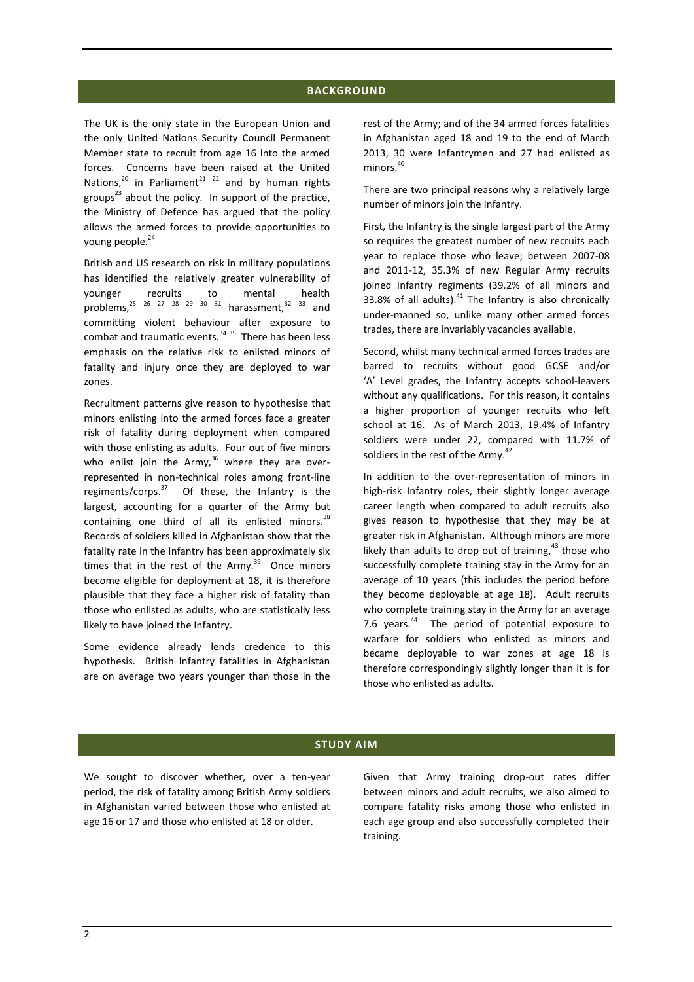#### **BACKGROUND**

The UK is the only state in the European Union and the only United Nations Security Council Permanent Member state to recruit from age 16 into the armed forces. Concerns have been raised at the United Nations, $^{20}$  in Parliament<sup>21</sup> <sup>22</sup> and by human rights groups<sup>23</sup> about the policy. In support of the practice, the Ministry of Defence has argued that the policy allows the armed forces to provide opportunities to young people.<sup>24</sup>

British and US research on risk in military populations has identified the relatively greater vulnerability of younger recruits to mental health problems,  $25^{25}$   $26^{27}$   $28^{29}$   $30^{31}$  harassment,  $32^{33}$  and committing violent behaviour after exposure to combat and traumatic events.<sup>34 35</sup> There has been less emphasis on the relative risk to enlisted minors of fatality and injury once they are deployed to war zones.

Recruitment patterns give reason to hypothesise that minors enlisting into the armed forces face a greater risk of fatality during deployment when compared with those enlisting as adults. Four out of five minors who enlist join the Army, $36$  where they are overrepresented in non-technical roles among front-line regiments/corps.<sup>37</sup> Of these, the Infantry is the largest, accounting for a quarter of the Army but containing one third of all its enlisted minors. $^{38}$ Records of soldiers killed in Afghanistan show that the fatality rate in the Infantry has been approximately six times that in the rest of the Army. $39$  Once minors become eligible for deployment at 18, it is therefore plausible that they face a higher risk of fatality than those who enlisted as adults, who are statistically less likely to have joined the Infantry.

Some evidence already lends credence to this hypothesis. British Infantry fatalities in Afghanistan are on average two years younger than those in the rest of the Army; and of the 34 armed forces fatalities in Afghanistan aged 18 and 19 to the end of March 2013, 30 were Infantrymen and 27 had enlisted as minors.<sup>40</sup>

There are two principal reasons why a relatively large number of minors join the Infantry.

First, the Infantry is the single largest part of the Army so requires the greatest number of new recruits each year to replace those who leave; between 2007-08 and 2011-12, 35.3% of new Regular Army recruits joined Infantry regiments (39.2% of all minors and 33.8% of all adults). $41$  The Infantry is also chronically under-manned so, unlike many other armed forces trades, there are invariably vacancies available.

Second, whilst many technical armed forces trades are barred to recruits without good GCSE and/or 'A' Level grades, the Infantry accepts school-leavers without any qualifications. For this reason, it contains a higher proportion of younger recruits who left school at 16. As of March 2013, 19.4% of Infantry soldiers were under 22, compared with 11.7% of soldiers in the rest of the Army.<sup>42</sup>

In addition to the over-representation of minors in high-risk Infantry roles, their slightly longer average career length when compared to adult recruits also gives reason to hypothesise that they may be at greater risk in Afghanistan. Although minors are more likely than adults to drop out of training,  $43$  those who successfully complete training stay in the Army for an average of 10 years (this includes the period before they become deployable at age 18). Adult recruits who complete training stay in the Army for an average 7.6 years.<sup>44</sup> The period of potential exposure to warfare for soldiers who enlisted as minors and became deployable to war zones at age 18 is therefore correspondingly slightly longer than it is for those who enlisted as adults.

### **STUDY AIM**

We sought to discover whether, over a ten-year period, the risk of fatality among British Army soldiers in Afghanistan varied between those who enlisted at age 16 or 17 and those who enlisted at 18 or older.

Given that Army training drop-out rates differ between minors and adult recruits, we also aimed to compare fatality risks among those who enlisted in each age group and also successfully completed their training.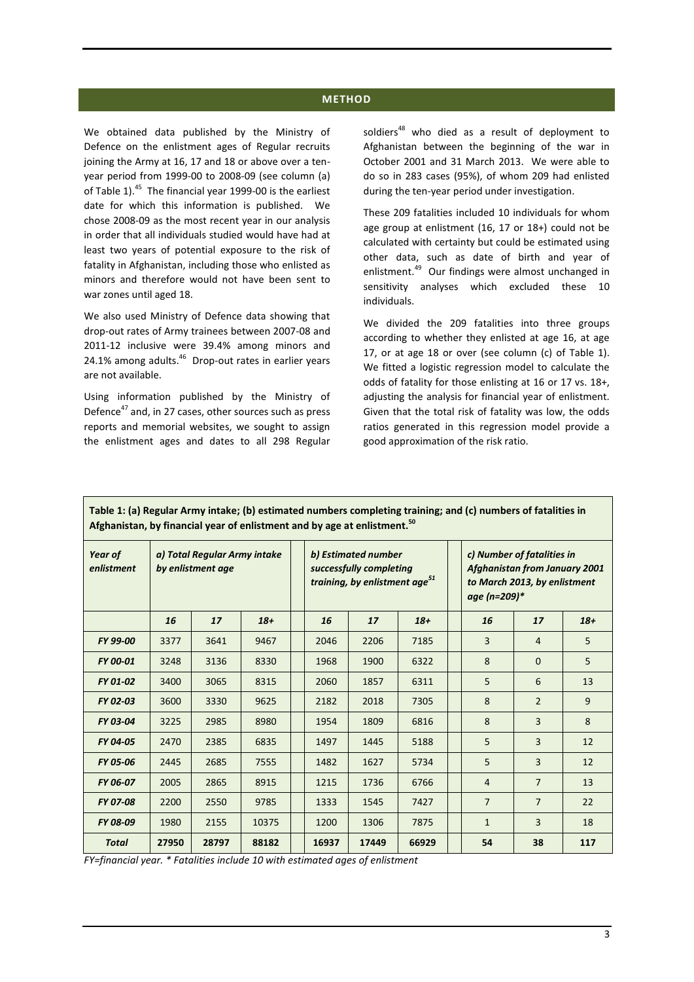## **METHOD**

We obtained data published by the Ministry of Defence on the enlistment ages of Regular recruits joining the Army at 16, 17 and 18 or above over a tenyear period from 1999-00 to 2008-09 (see column (a) of Table 1).<sup>45</sup> The financial year 1999-00 is the earliest date for which this information is published. We chose 2008-09 as the most recent year in our analysis in order that all individuals studied would have had at least two years of potential exposure to the risk of fatality in Afghanistan, including those who enlisted as minors and therefore would not have been sent to war zones until aged 18.

We also used Ministry of Defence data showing that drop-out rates of Army trainees between 2007-08 and 2011-12 inclusive were 39.4% among minors and 24.1% among adults.<sup>46</sup> Drop-out rates in earlier years are not available.

Using information published by the Ministry of Defence<sup>47</sup> and, in 27 cases, other sources such as press reports and memorial websites, we sought to assign the enlistment ages and dates to all 298 Regular

soldiers<sup>48</sup> who died as a result of deployment to Afghanistan between the beginning of the war in October 2001 and 31 March 2013. We were able to do so in 283 cases (95%), of whom 209 had enlisted during the ten-year period under investigation.

These 209 fatalities included 10 individuals for whom age group at enlistment (16, 17 or 18+) could not be calculated with certainty but could be estimated using other data, such as date of birth and year of enlistment.<sup>49</sup> Our findings were almost unchanged in sensitivity analyses which excluded these 10 individuals.

We divided the 209 fatalities into three groups according to whether they enlisted at age 16, at age 17, or at age 18 or over (see column (c) of [Table 1\)](#page-2-0). We fitted a logistic regression model to calculate the odds of fatality for those enlisting at 16 or 17 vs. 18+, adjusting the analysis for financial year of enlistment. Given that the total risk of fatality was low, the odds ratios generated in this regression model provide a good approximation of the risk ratio.

| anistanj wy mnaneral year of emistinem and wy age |                                                   |       |       |  |                                                                                             |       |       |                                                                                                                    |                |       |
|---------------------------------------------------|---------------------------------------------------|-------|-------|--|---------------------------------------------------------------------------------------------|-------|-------|--------------------------------------------------------------------------------------------------------------------|----------------|-------|
| Year of<br>enlistment                             | a) Total Regular Army intake<br>by enlistment age |       |       |  | b) Estimated number<br>successfully completing<br>training, by enlistment age <sup>51</sup> |       |       | c) Number of fatalities in<br><b>Afghanistan from January 2001</b><br>to March 2013, by enlistment<br>age (n=209)* |                |       |
|                                                   | 16                                                | 17    | $18+$ |  | 16                                                                                          | 17    | $18+$ | 16                                                                                                                 | 17             | $18+$ |
| FY 99-00                                          | 3377                                              | 3641  | 9467  |  | 2046                                                                                        | 2206  | 7185  | $\overline{3}$                                                                                                     | 4              | 5     |
| FY 00-01                                          | 3248                                              | 3136  | 8330  |  | 1968                                                                                        | 1900  | 6322  | 8                                                                                                                  | $\Omega$       | 5     |
| FY 01-02                                          | 3400                                              | 3065  | 8315  |  | 2060                                                                                        | 1857  | 6311  | 5                                                                                                                  | 6              | 13    |
| FY 02-03                                          | 3600                                              | 3330  | 9625  |  | 2182                                                                                        | 2018  | 7305  | 8                                                                                                                  | $\overline{2}$ | 9     |
| FY 03-04                                          | 3225                                              | 2985  | 8980  |  | 1954                                                                                        | 1809  | 6816  | 8                                                                                                                  | 3              | 8     |
| FY 04-05                                          | 2470                                              | 2385  | 6835  |  | 1497                                                                                        | 1445  | 5188  | 5                                                                                                                  | 3              | 12    |
| FY 05-06                                          | 2445                                              | 2685  | 7555  |  | 1482                                                                                        | 1627  | 5734  | 5                                                                                                                  | 3              | 12    |
| <b>FY 06-07</b>                                   | 2005                                              | 2865  | 8915  |  | 1215                                                                                        | 1736  | 6766  | $\overline{4}$                                                                                                     | 7              | 13    |
| <b>FY 07-08</b>                                   | 2200                                              | 2550  | 9785  |  | 1333                                                                                        | 1545  | 7427  | $\overline{7}$                                                                                                     | $\overline{7}$ | 22    |
| FY 08-09                                          | 1980                                              | 2155  | 10375 |  | 1200                                                                                        | 1306  | 7875  | $\mathbf{1}$                                                                                                       | 3              | 18    |
| <b>Total</b>                                      | 27950                                             | 28797 | 88182 |  | 16937                                                                                       | 17449 | 66929 | 54                                                                                                                 | 38             | 117   |

<span id="page-2-0"></span>**Table 1: (a) Regular Army intake; (b) estimated numbers completing training; and (c) numbers of fatalities in Afghanistan, by financial year of enlistment and by age at enlistment. 50**

*FY=financial year. \* Fatalities include 10 with estimated ages of enlistment*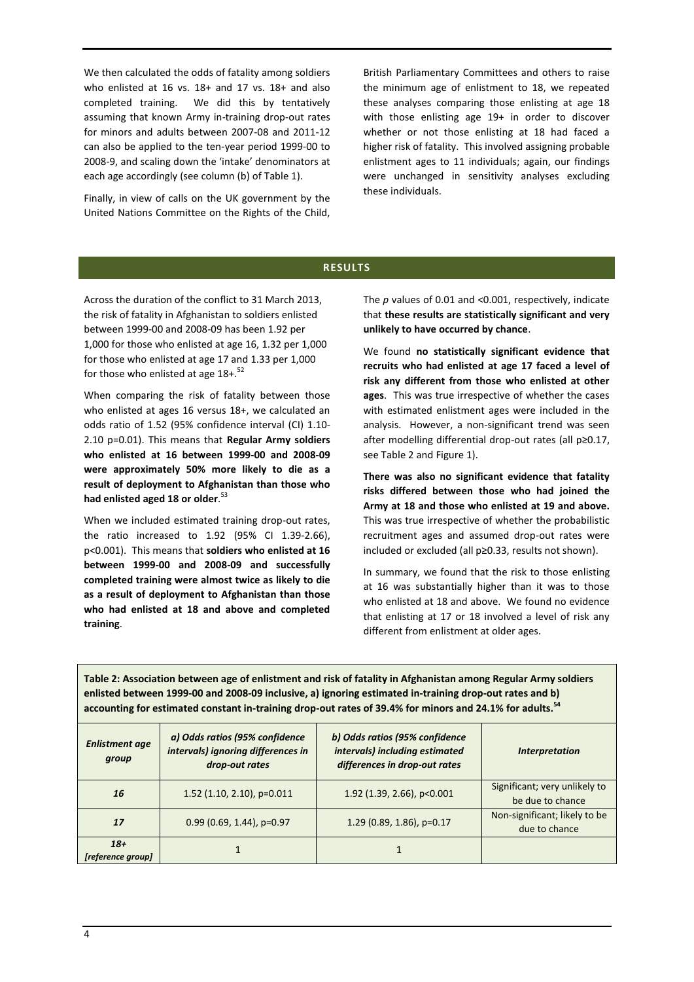We then calculated the odds of fatality among soldiers who enlisted at 16 vs. 18+ and 17 vs. 18+ and also completed training. We did this by tentatively assuming that known Army in-training drop-out rates for minors and adults between 2007-08 and 2011-12 can also be applied to the ten-year period 1999-00 to 2008-9, and scaling down the 'intake' denominators at each age accordingly (see column (b) o[f Table 1\)](#page-2-0).

Finally, in view of calls on the UK government by the United Nations Committee on the Rights of the Child,

British Parliamentary Committees and others to raise the minimum age of enlistment to 18, we repeated these analyses comparing those enlisting at age 18 with those enlisting age 19+ in order to discover whether or not those enlisting at 18 had faced a higher risk of fatality. This involved assigning probable enlistment ages to 11 individuals; again, our findings were unchanged in sensitivity analyses excluding these individuals.

## **RESULTS**

Across the duration of the conflict to 31 March 2013, the risk of fatality in Afghanistan to soldiers enlisted between 1999-00 and 2008-09 has been 1.92 per 1,000 for those who enlisted at age 16, 1.32 per 1,000 for those who enlisted at age 17 and 1.33 per 1,000 for those who enlisted at age  $18+$ .<sup>52</sup>

When comparing the risk of fatality between those who enlisted at ages 16 versus 18+, we calculated an odds ratio of 1.52 (95% confidence interval (CI) 1.10- 2.10 p=0.01). This means that **Regular Army soldiers who enlisted at 16 between 1999-00 and 2008-09 were approximately 50% more likely to die as a result of deployment to Afghanistan than those who had enlisted aged 18 or older**. 53

When we included estimated training drop-out rates, the ratio increased to 1.92 (95% CI 1.39-2.66), p<0.001). This means that **soldiers who enlisted at 16 between 1999-00 and 2008-09 and successfully completed training were almost twice as likely to die as a result of deployment to Afghanistan than those who had enlisted at 18 and above and completed training**.

The *p* values of 0.01 and <0.001, respectively, indicate that **these results are statistically significant and very unlikely to have occurred by chance**.

We found **no statistically significant evidence that recruits who had enlisted at age 17 faced a level of risk any different from those who enlisted at other ages**. This was true irrespective of whether the cases with estimated enlistment ages were included in the analysis. However, a non-significant trend was seen after modelling differential drop-out rates (all p≥0.17, see [Table 2](#page-3-0) and [Figure 1\)](#page-4-0).

**There was also no significant evidence that fatality risks differed between those who had joined the Army at 18 and those who enlisted at 19 and above.**  This was true irrespective of whether the probabilistic recruitment ages and assumed drop-out rates were included or excluded (all p≥0.33, results not shown).

In summary, we found that the risk to those enlisting at 16 was substantially higher than it was to those who enlisted at 18 and above. We found no evidence that enlisting at 17 or 18 involved a level of risk any different from enlistment at older ages.

<span id="page-3-0"></span>**Table 2: Association between age of enlistment and risk of fatality in Afghanistan among Regular Army soldiers enlisted between 1999-00 and 2008-09 inclusive, a) ignoring estimated in-training drop-out rates and b) accounting for estimated constant in-training drop-out rates of 39.4% for minors and 24.1% for adults.<sup>54</sup>**

| <b>Enlistment age</b><br>group | a) Odds ratios (95% confidence<br>intervals) ignoring differences in<br>drop-out rates | b) Odds ratios (95% confidence<br>intervals) including estimated<br>differences in drop-out rates | <b>Interpretation</b>                             |
|--------------------------------|----------------------------------------------------------------------------------------|---------------------------------------------------------------------------------------------------|---------------------------------------------------|
| 16                             | 1.52 $(1.10, 2.10)$ , p=0.011                                                          | 1.92 (1.39, 2.66), p<0.001                                                                        | Significant; very unlikely to<br>be due to chance |
| <b>17</b>                      | $0.99$ (0.69, 1.44), p=0.97                                                            | 1.29 (0.89, 1.86), $p=0.17$                                                                       | Non-significant; likely to be<br>due to chance    |
| $18+$<br>[reference group]     |                                                                                        |                                                                                                   |                                                   |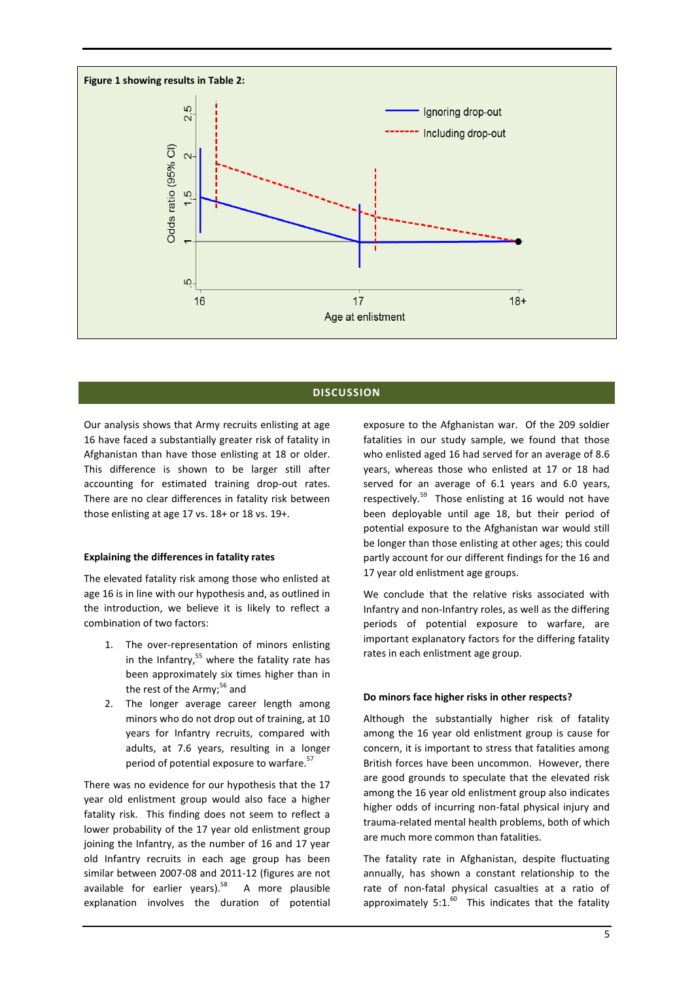<span id="page-4-0"></span>

#### **DISCUSSION**

Our analysis shows that Army recruits enlisting at age 16 have faced a substantially greater risk of fatality in Afghanistan than have those enlisting at 18 or older. This difference is shown to be larger still after accounting for estimated training drop-out rates. There are no clear differences in fatality risk between those enlisting at age 17 vs. 18+ or 18 vs. 19+.

#### **Explaining the differences in fatality rates**

The elevated fatality risk among those who enlisted at age 16 is in line with our hypothesis and, as outlined in the introduction, we believe it is likely to reflect a combination of two factors:

- The over-representation of minors enlisting in the Infantry, $55$  where the fatality rate has been approximately six times higher than in the rest of the Army; $56$  and
- 2. The longer average career length among minors who do not drop out of training, at 10 years for Infantry recruits, compared with adults, at 7.6 years, resulting in a longer period of potential exposure to warfare.<sup>57</sup>

There was no evidence for our hypothesis that the 17 year old enlistment group would also face a higher fatality risk. This finding does not seem to reflect a lower probability of the 17 year old enlistment group joining the Infantry, as the number of 16 and 17 year old Infantry recruits in each age group has been similar between 2007-08 and 2011-12 (figures are not available for earlier years).<sup>58</sup> A more plausible explanation involves the duration of potential exposure to the Afghanistan war. Of the 209 soldier fatalities in our study sample, we found that those who enlisted aged 16 had served for an average of 8.6 years, whereas those who enlisted at 17 or 18 had served for an average of 6.1 years and 6.0 years, respectively.<sup>59</sup> Those enlisting at 16 would not have been deployable until age 18, but their period of potential exposure to the Afghanistan war would still be longer than those enlisting at other ages; this could partly account for our different findings for the 16 and 17 year old enlistment age groups.

We conclude that the relative risks associated with Infantry and non-Infantry roles, as well as the differing periods of potential exposure to warfare, are important explanatory factors for the differing fatality rates in each enlistment age group.

#### **Do minors face higher risks in other respects?**

Although the substantially higher risk of fatality among the 16 year old enlistment group is cause for concern, it is important to stress that fatalities among British forces have been uncommon. However, there are good grounds to speculate that the elevated risk among the 16 year old enlistment group also indicates higher odds of incurring non-fatal physical injury and trauma-related mental health problems, both of which are much more common than fatalities.

The fatality rate in Afghanistan, despite fluctuating annually, has shown a constant relationship to the rate of non-fatal physical casualties at a ratio of approximately  $5:1.^{60}$  This indicates that the fatality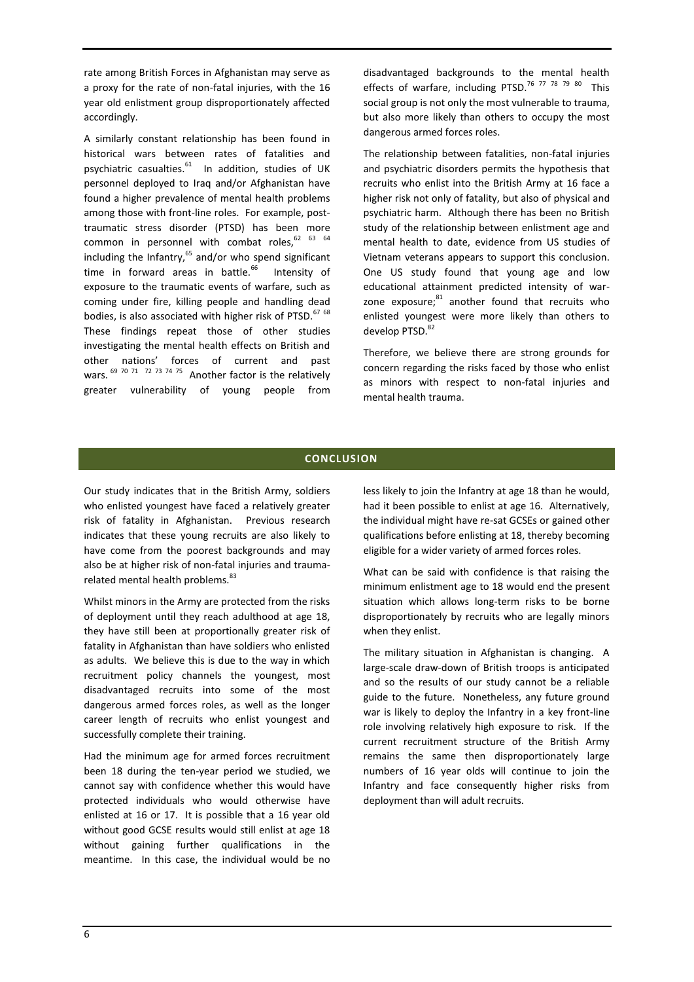rate among British Forces in Afghanistan may serve as a proxy for the rate of non-fatal injuries, with the 16 year old enlistment group disproportionately affected accordingly.

A similarly constant relationship has been found in historical wars between rates of fatalities and psychiatric casualties.<sup>61</sup> In addition, studies of UK personnel deployed to Iraq and/or Afghanistan have found a higher prevalence of mental health problems among those with front-line roles. For example, posttraumatic stress disorder (PTSD) has been more common in personnel with combat roles, $62$   $63$   $64$ including the Infantry, $65$  and/or who spend significant time in forward areas in battle. $66$  Intensity of exposure to the traumatic events of warfare, such as coming under fire, killing people and handling dead bodies, is also associated with higher risk of PTSD.<sup>67 68</sup> These findings repeat those of other studies investigating the mental health effects on British and other nations' forces of current and past wars.  $^{69}$  70 71 72 73 74 75 Another factor is the relatively greater vulnerability of young people from

disadvantaged backgrounds to the mental health effects of warfare, including PTSD.<sup>76 77 78 79 80</sup> This social group is not only the most vulnerable to trauma, but also more likely than others to occupy the most dangerous armed forces roles.

The relationship between fatalities, non-fatal injuries and psychiatric disorders permits the hypothesis that recruits who enlist into the British Army at 16 face a higher risk not only of fatality, but also of physical and psychiatric harm. Although there has been no British study of the relationship between enlistment age and mental health to date, evidence from US studies of Vietnam veterans appears to support this conclusion. One US study found that young age and low educational attainment predicted intensity of warzone exposure;<sup>81</sup> another found that recruits who enlisted youngest were more likely than others to develop PTSD.<sup>82</sup>

Therefore, we believe there are strong grounds for concern regarding the risks faced by those who enlist as minors with respect to non-fatal injuries and mental health trauma.

## **CONCLUSION**

Our study indicates that in the British Army, soldiers who enlisted youngest have faced a relatively greater risk of fatality in Afghanistan. Previous research indicates that these young recruits are also likely to have come from the poorest backgrounds and may also be at higher risk of non-fatal injuries and traumarelated mental health problems.<sup>83</sup>

Whilst minors in the Army are protected from the risks of deployment until they reach adulthood at age 18, they have still been at proportionally greater risk of fatality in Afghanistan than have soldiers who enlisted as adults. We believe this is due to the way in which recruitment policy channels the youngest, most disadvantaged recruits into some of the most dangerous armed forces roles, as well as the longer career length of recruits who enlist youngest and successfully complete their training.

Had the minimum age for armed forces recruitment been 18 during the ten-year period we studied, we cannot say with confidence whether this would have protected individuals who would otherwise have enlisted at 16 or 17. It is possible that a 16 year old without good GCSE results would still enlist at age 18 without gaining further qualifications in the meantime. In this case, the individual would be no

less likely to join the Infantry at age 18 than he would, had it been possible to enlist at age 16. Alternatively, the individual might have re-sat GCSEs or gained other qualifications before enlisting at 18, thereby becoming eligible for a wider variety of armed forces roles.

What can be said with confidence is that raising the minimum enlistment age to 18 would end the present situation which allows long-term risks to be borne disproportionately by recruits who are legally minors when they enlist.

The military situation in Afghanistan is changing. A large-scale draw-down of British troops is anticipated and so the results of our study cannot be a reliable guide to the future. Nonetheless, any future ground war is likely to deploy the Infantry in a key front-line role involving relatively high exposure to risk. If the current recruitment structure of the British Army remains the same then disproportionately large numbers of 16 year olds will continue to join the Infantry and face consequently higher risks from deployment than will adult recruits.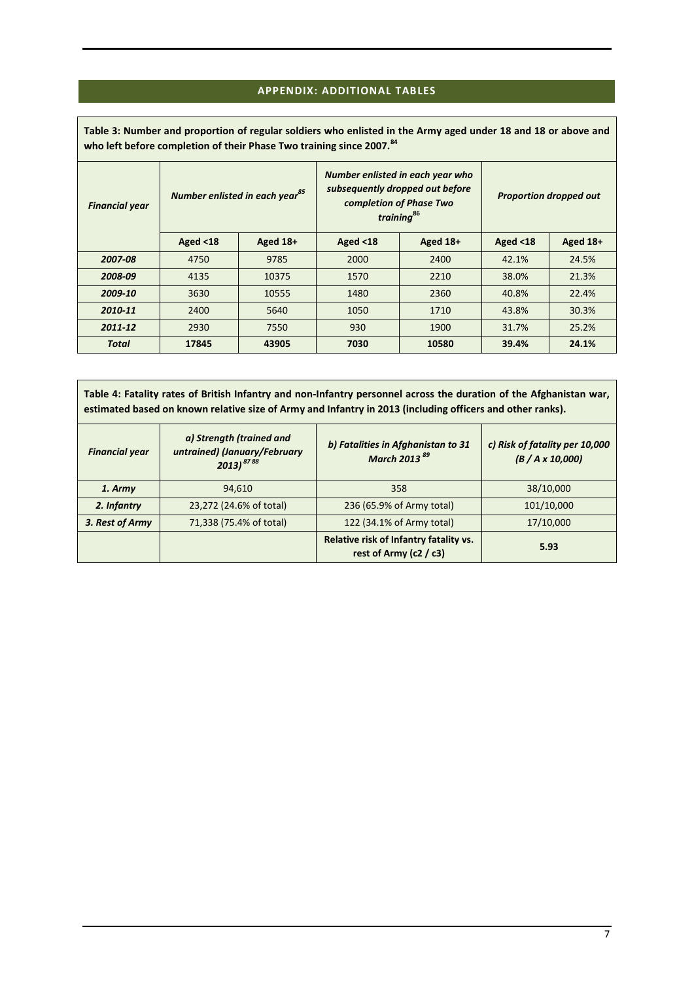## **APPENDIX: ADDITIONAL TABLES**

<span id="page-6-1"></span>**Table 3: Number and proportion of regular soldiers who enlisted in the Army aged under 18 and 18 or above and who left before completion of their Phase Two training since 2007.<sup>84</sup>**

| <b>Financial year</b> |             | Number enlisted in each year <sup>85</sup> | subsequently dropped out before<br>completion of Phase Two | Number enlisted in each year who<br>training <sup>86</sup> | <b>Proportion dropped out</b> |          |  |
|-----------------------|-------------|--------------------------------------------|------------------------------------------------------------|------------------------------------------------------------|-------------------------------|----------|--|
|                       | Aged $<$ 18 | Aged 18+                                   | Aged $<$ 18                                                | Aged 18+                                                   | Aged $<$ 18                   | Aged 18+ |  |
| 2007-08               | 4750        | 9785                                       | 2000                                                       | 2400                                                       | 42.1%                         | 24.5%    |  |
| 2008-09               | 4135        | 10375                                      | 1570                                                       | 2210                                                       | 38.0%                         | 21.3%    |  |
| 2009-10               | 3630        | 10555                                      | 1480                                                       | 2360                                                       | 40.8%                         | 22.4%    |  |
| 2010-11               | 2400        | 5640                                       | 1050                                                       | 1710                                                       | 43.8%                         | 30.3%    |  |
| 2011-12               | 2930        | 7550                                       | 930                                                        | 1900                                                       | 31.7%                         | 25.2%    |  |
| <b>Total</b>          | 17845       | 43905                                      | 7030                                                       | 10580                                                      | 39.4%                         | 24.1%    |  |

<span id="page-6-0"></span>**Table 4: Fatality rates of British Infantry and non-Infantry personnel across the duration of the Afghanistan war, estimated based on known relative size of Army and Infantry in 2013 (including officers and other ranks).**

| <b>Financial year</b> | a) Strength (trained and<br>untrained) (January/February<br>$2013)^{8788}$ | b) Fatalities in Afghanistan to 31<br>March 2013 <sup>89</sup>       | c) Risk of fatality per 10,000<br>$(B / A \times 10,000)$ |
|-----------------------|----------------------------------------------------------------------------|----------------------------------------------------------------------|-----------------------------------------------------------|
| 1. Army               | 94,610                                                                     | 358                                                                  | 38/10,000                                                 |
| 2. Infantry           | 23,272 (24.6% of total)                                                    | 236 (65.9% of Army total)                                            | 101/10,000                                                |
| 3. Rest of Army       | 71,338 (75.4% of total)                                                    | 122 (34.1% of Army total)                                            | 17/10,000                                                 |
|                       |                                                                            | Relative risk of Infantry fatality vs.<br>rest of Army ( $c2 / c3$ ) | 5.93                                                      |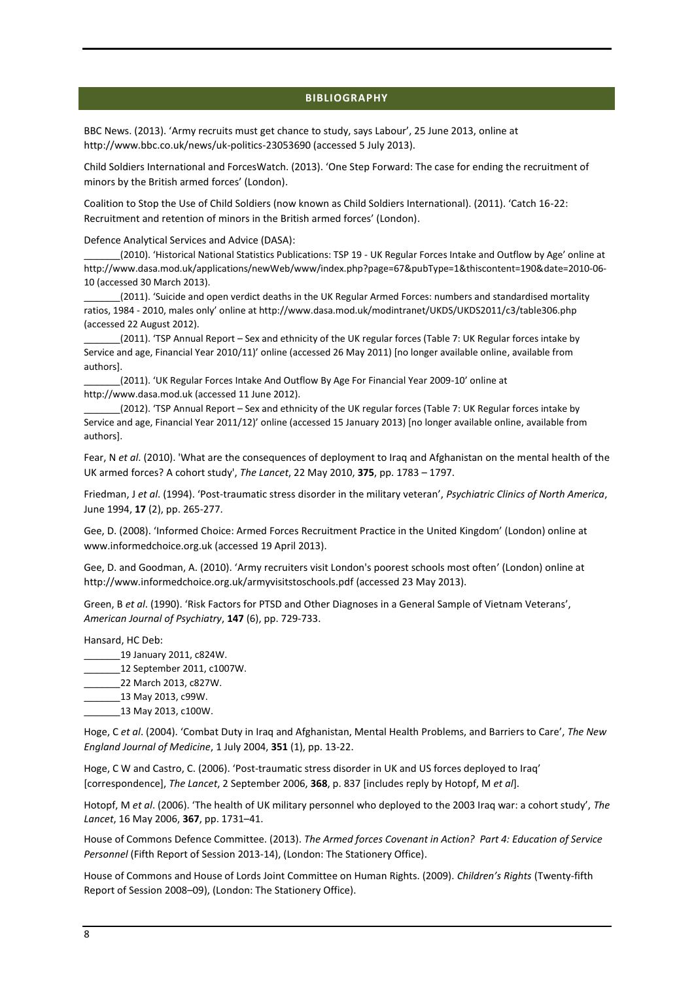#### **BIBLIOGRAPHY**

BBC News. (2013). 'Army recruits must get chance to study, says Labour', 25 June 2013, online at http://www.bbc.co.uk/news/uk-politics-23053690 (accessed 5 July 2013).

Child Soldiers International and ForcesWatch. (2013). 'One Step Forward: The case for ending the recruitment of minors by the British armed forces' (London).

Coalition to Stop the Use of Child Soldiers (now known as Child Soldiers International). (2011). 'Catch 16-22: Recruitment and retention of minors in the British armed forces' (London).

Defence Analytical Services and Advice (DASA):

\_\_\_\_\_\_\_(2010). 'Historical National Statistics Publications: TSP 19 - UK Regular Forces Intake and Outflow by Age' online at http://www.dasa.mod.uk/applications/newWeb/www/index.php?page=67&pubType=1&thiscontent=190&date=2010-06- 10 (accessed 30 March 2013).

\_\_\_\_\_\_\_(2011). 'Suicide and open verdict deaths in the UK Regular Armed Forces: numbers and standardised mortality ratios, 1984 - 2010, males only' online at http://www.dasa.mod.uk/modintranet/UKDS/UKDS2011/c3/table306.php (accessed 22 August 2012).

\_\_\_\_\_\_\_(2011). 'TSP Annual Report – Sex and ethnicity of the UK regular forces (Table 7: UK Regular forces intake by Service and age, Financial Year 2010/11)' online (accessed 26 May 2011) [no longer available online, available from authors].

(2011). 'UK Regular Forces Intake And Outflow By Age For Financial Year 2009-10' online at http://www.dasa.mod.uk (accessed 11 June 2012).

\_\_\_\_\_\_\_(2012). 'TSP Annual Report – Sex and ethnicity of the UK regular forces (Table 7: UK Regular forces intake by Service and age, Financial Year 2011/12)' online (accessed 15 January 2013) [no longer available online, available from authors].

Fear, N *et al*. (2010). 'What are the consequences of deployment to Iraq and Afghanistan on the mental health of the UK armed forces? A cohort study', *The Lancet*, 22 May 2010, **375**, pp. 1783 – 1797.

Friedman, J *et al*. (1994). 'Post-traumatic stress disorder in the military veteran', *Psychiatric Clinics of North America*, June 1994, **17** (2), pp. 265-277.

Gee, D. (2008). 'Informed Choice: Armed Forces Recruitment Practice in the United Kingdom' (London) online at www.informedchoice.org.uk (accessed 19 April 2013).

Gee, D. and Goodman, A. (2010). 'Army recruiters visit London's poorest schools most often' (London) online at http://www.informedchoice.org.uk/armyvisitstoschools.pdf (accessed 23 May 2013).

Green, B *et al*. (1990). 'Risk Factors for PTSD and Other Diagnoses in a General Sample of Vietnam Veterans', *American Journal of Psychiatry*, **147** (6), pp. 729-733.

Hansard, HC Deb:

- \_\_\_\_\_\_\_19 January 2011, c824W.
- \_\_\_\_\_\_\_12 September 2011, c1007W.
- \_\_\_\_\_\_\_22 March 2013, c827W.

\_\_\_\_\_\_\_13 May 2013, c99W.

\_\_\_\_\_\_\_13 May 2013, c100W.

Hoge, C *et al*. (2004). 'Combat Duty in Iraq and Afghanistan, Mental Health Problems, and Barriers to Care', *The New England Journal of Medicine*, 1 July 2004, **351** (1), pp. 13-22.

Hoge, C W and Castro, C. (2006). 'Post-traumatic stress disorder in UK and US forces deployed to Iraq' [correspondence], *The Lancet*, 2 September 2006, **368**, p. 837 [includes reply by Hotopf, M *et al*].

Hotopf, M *et al*. (2006). 'The health of UK military personnel who deployed to the 2003 Iraq war: a cohort study', *The Lancet*, 16 May 2006, **367**, pp. 1731–41.

House of Commons Defence Committee. (2013). *The Armed forces Covenant in Action? Part 4: Education of Service Personnel* (Fifth Report of Session 2013-14), (London: The Stationery Office).

House of Commons and House of Lords Joint Committee on Human Rights. (2009). *Children's Rights* (Twenty-fifth Report of Session 2008–09), (London: The Stationery Office).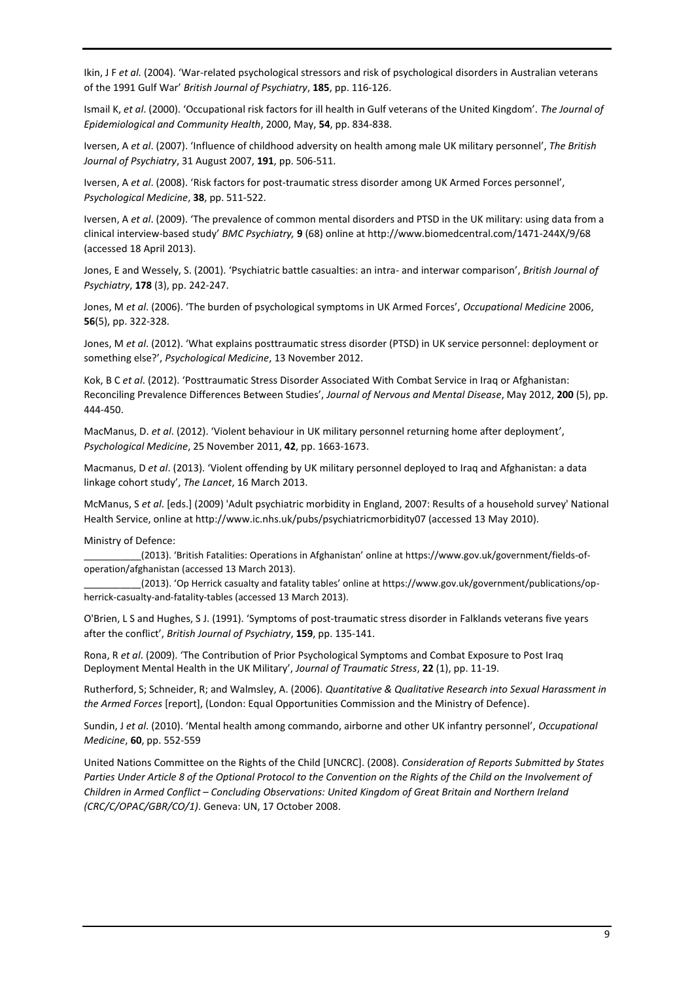Ikin, J F *et al.* (2004). 'War-related psychological stressors and risk of psychological disorders in Australian veterans of the 1991 Gulf War' *British Journal of Psychiatry*, **185**, pp. 116-126.

Ismail K, *et al*. (2000). 'Occupational risk factors for ill health in Gulf veterans of the United Kingdom'. *The Journal of Epidemiological and Community Health*, 2000, May, **54**, pp. 834-838.

Iversen, A *et al*. (2007). 'Influence of childhood adversity on health among male UK military personnel', *The British Journal of Psychiatry*, 31 August 2007, **191**, pp. 506-511.

Iversen, A *et al*. (2008). 'Risk factors for post-traumatic stress disorder among UK Armed Forces personnel', *Psychological Medicine*, **38**, pp. 511-522.

Iversen, A *et al*. (2009). 'The prevalence of common mental disorders and PTSD in the UK military: using data from a clinical interview-based study' *BMC Psychiatry,* **9** (68) online at http://www.biomedcentral.com/1471-244X/9/68 (accessed 18 April 2013).

Jones, E and Wessely, S. (2001). 'Psychiatric battle casualties: an intra- and interwar comparison', *British Journal of Psychiatry*, **178** (3), pp. 242-247.

Jones, M *et al*. (2006). 'The burden of psychological symptoms in UK Armed Forces', *Occupational Medicine* 2006, **56**(5), pp. 322-328.

Jones, M *et al*. (2012). 'What explains posttraumatic stress disorder (PTSD) in UK service personnel: deployment or something else?', *Psychological Medicine*, 13 November 2012.

Kok, B C *et al*. (2012). 'Posttraumatic Stress Disorder Associated With Combat Service in Iraq or Afghanistan: Reconciling Prevalence Differences Between Studies', *Journal of Nervous and Mental Disease*, May 2012, **200** (5), pp. 444-450.

MacManus, D. *et al*. (2012). 'Violent behaviour in UK military personnel returning home after deployment', *Psychological Medicine*, 25 November 2011, **42**, pp. 1663-1673.

Macmanus, D *et al*. (2013). 'Violent offending by UK military personnel deployed to Iraq and Afghanistan: a data linkage cohort study', *The Lancet*, 16 March 2013.

McManus, S *et al*. [eds.] (2009) 'Adult psychiatric morbidity in England, 2007: Results of a household survey' National Health Service, online at http://www.ic.nhs.uk/pubs/psychiatricmorbidity07 (accessed 13 May 2010).

Ministry of Defence:

\_\_\_\_\_\_\_\_\_\_\_(2013). 'British Fatalities: Operations in Afghanistan' online at https://www.gov.uk/government/fields-ofoperation/afghanistan (accessed 13 March 2013).

(2013). 'Op Herrick casualty and fatality tables' online at https://www.gov.uk/government/publications/opherrick-casualty-and-fatality-tables (accessed 13 March 2013).

O'Brien, L S and Hughes, S J. (1991). 'Symptoms of post-traumatic stress disorder in Falklands veterans five years after the conflict', *British Journal of Psychiatry*, **159**, pp. 135-141.

Rona, R *et al*. (2009). 'The Contribution of Prior Psychological Symptoms and Combat Exposure to Post Iraq Deployment Mental Health in the UK Military', *Journal of Traumatic Stress*, **22** (1), pp. 11-19.

Rutherford, S; Schneider, R; and Walmsley, A. (2006). *Quantitative & Qualitative Research into Sexual Harassment in the Armed Forces* [report], (London: Equal Opportunities Commission and the Ministry of Defence).

Sundin, J *et al*. (2010). 'Mental health among commando, airborne and other UK infantry personnel', *Occupational Medicine*, **60**, pp. 552-559

United Nations Committee on the Rights of the Child [UNCRC]. (2008). *Consideration of Reports Submitted by States*  Parties Under Article 8 of the Optional Protocol to the Convention on the Rights of the Child on the Involvement of *Children in Armed Conflict – Concluding Observations: United Kingdom of Great Britain and Northern Ireland (CRC/C/OPAC/GBR/CO/1)*. Geneva: UN, 17 October 2008.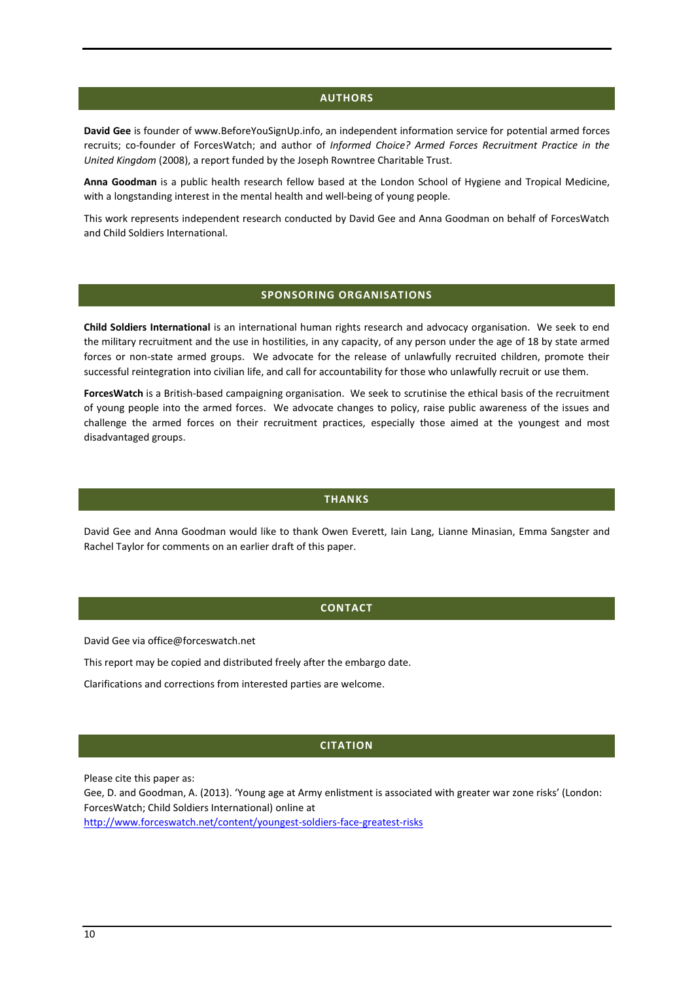#### **AUTHORS**

**David Gee** is founder of www.BeforeYouSignUp.info, an independent information service for potential armed forces recruits; co-founder of ForcesWatch; and author of *Informed Choice? Armed Forces Recruitment Practice in the United Kingdom* (2008), a report funded by the Joseph Rowntree Charitable Trust.

**Anna Goodman** is a public health research fellow based at the London School of Hygiene and Tropical Medicine, with a longstanding interest in the mental health and well-being of young people.

This work represents independent research conducted by David Gee and Anna Goodman on behalf of ForcesWatch and Child Soldiers International.

#### **SPONSORING ORGANISATIONS**

**Child Soldiers International** is an international human rights research and advocacy organisation. We seek to end the military recruitment and the use in hostilities, in any capacity, of any person under the age of 18 by state armed forces or non-state armed groups. We advocate for the release of unlawfully recruited children, promote their successful reintegration into civilian life, and call for accountability for those who unlawfully recruit or use them.

**ForcesWatch** is a British-based campaigning organisation. We seek to scrutinise the ethical basis of the recruitment of young people into the armed forces. We advocate changes to policy, raise public awareness of the issues and challenge the armed forces on their recruitment practices, especially those aimed at the youngest and most disadvantaged groups.

#### **THANKS**

David Gee and Anna Goodman would like to thank Owen Everett, Iain Lang, Lianne Minasian, Emma Sangster and Rachel Taylor for comments on an earlier draft of this paper.

## **CONTACT**

David Gee via office@forceswatch.net

This report may be copied and distributed freely after the embargo date.

Clarifications and corrections from interested parties are welcome.

#### **CITATION**

Please cite this paper as:

Gee, D. and Goodman, A. (2013). 'Young age at Army enlistment is associated with greater war zone risks' (London: ForcesWatch; Child Soldiers International) online at <http://www.forceswatch.net/content/youngest-soldiers-face-greatest-risks>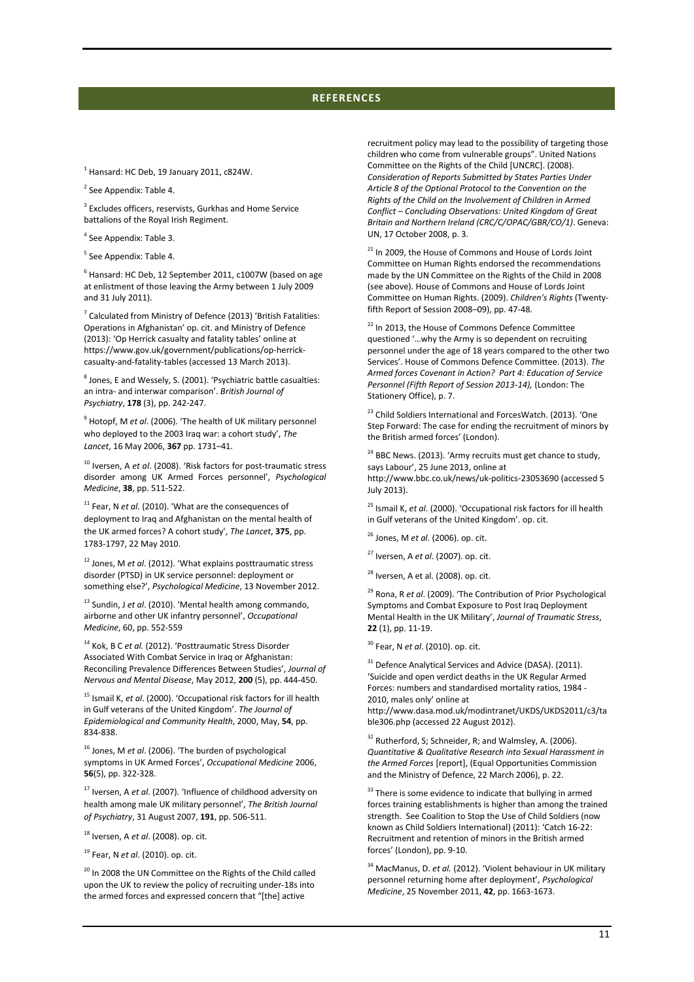## **REFERENCES**

 $<sup>1</sup>$  Hansard: HC Deb, 19 January 2011, c824W.</sup>

<sup>2</sup> See Appendix[: Table 4.](#page-6-0)

<sup>3</sup> Excludes officers, reservists, Gurkhas and Home Service battalions of the Royal Irish Regiment.

4 See Appendix[: Table 3.](#page-6-1)

<sup>5</sup> See Appendix[: Table 4.](#page-6-0)

 $<sup>6</sup>$  Hansard: HC Deb, 12 September 2011, c1007W (based on age</sup> at enlistment of those leaving the Army between 1 July 2009 and 31 July 2011).

7 Calculated from Ministry of Defence (2013) 'British Fatalities: Operations in Afghanistan' op. cit. and Ministry of Defence (2013): 'Op Herrick casualty and fatality tables' online at https://www.gov.uk/government/publications/op-herrickcasualty-and-fatality-tables (accessed 13 March 2013).

<sup>8</sup> Jones, E and Wessely, S. (2001). 'Psychiatric battle casualties: an intra- and interwar comparison'. *British Journal of Psychiatry*, **178** (3), pp. 242-247.

9 Hotopf, M *et al*. (2006). 'The health of UK military personnel who deployed to the 2003 Iraq war: a cohort study', *The Lancet*, 16 May 2006, **367** pp. 1731–41.

<sup>10</sup> Iversen, A *et al*. (2008). 'Risk factors for post-traumatic stress disorder among UK Armed Forces personnel', *Psychological Medicine*, **38**, pp. 511-522.

<sup>11</sup> Fear, N et al. (2010). 'What are the consequences of deployment to Iraq and Afghanistan on the mental health of the UK armed forces? A cohort study', *The Lancet*, **375**, pp. 1783-1797, 22 May 2010.

<sup>12</sup> Jones, M *et al*. (2012). 'What explains posttraumatic stress disorder (PTSD) in UK service personnel: deployment or something else?', *Psychological Medicine*, 13 November 2012.

<sup>13</sup> Sundin, J *et al*. (2010). 'Mental health among commando, airborne and other UK infantry personnel', *Occupational Medicine*, 60, pp. 552-559

<sup>14</sup> Kok, B C *et al.* (2012). 'Posttraumatic Stress Disorder Associated With Combat Service in Iraq or Afghanistan: Reconciling Prevalence Differences Between Studies', *Journal of Nervous and Mental Disease*, May 2012, **200** (5), pp. 444-450.

<sup>15</sup> Ismail K, *et al*. (2000). 'Occupational risk factors for ill health in Gulf veterans of the United Kingdom'. *The Journal of Epidemiological and Community Health*, 2000, May, **54**, pp. 834-838.

<sup>16</sup> Jones, M *et al*. (2006). 'The burden of psychological symptoms in UK Armed Forces', *Occupational Medicine* 2006, **56**(5), pp. 322-328.

<sup>17</sup> Iversen, A *et al*. (2007). 'Influence of childhood adversity on health among male UK military personnel', *The British Journal of Psychiatry*, 31 August 2007, **191**, pp. 506-511.

<sup>18</sup> Iversen, A *et al*. (2008). op. cit.

<sup>19</sup> Fear, N *et al*. (2010). op. cit.

<sup>20</sup> In 2008 the UN Committee on the Rights of the Child called upon the UK to review the policy of recruiting under-18s into the armed forces and expressed concern that "[the] active

recruitment policy may lead to the possibility of targeting those children who come from vulnerable groups". United Nations Committee on the Rights of the Child [UNCRC]. (2008). *Consideration of Reports Submitted by States Parties Under Article 8 of the Optional Protocol to the Convention on the Rights of the Child on the Involvement of Children in Armed Conflict – Concluding Observations: United Kingdom of Great Britain and Northern Ireland (CRC/C/OPAC/GBR/CO/1)*. Geneva: UN, 17 October 2008, p. 3.

<sup>21</sup> In 2009, the House of Commons and House of Lords Joint Committee on Human Rights endorsed the recommendations made by the UN Committee on the Rights of the Child in 2008 (see above). House of Commons and House of Lords Joint Committee on Human Rights. (2009). *Children's Rights* (Twentyfifth Report of Session 2008–09), pp. 47-48.

<sup>22</sup> In 2013, the House of Commons Defence Committee questioned '…why the Army is so dependent on recruiting personnel under the age of 18 years compared to the other two Services'. House of Commons Defence Committee. (2013). *The Armed forces Covenant in Action? Part 4: Education of Service Personnel (Fifth Report of Session 2013-14),* (London: The Stationery Office), p. 7.

<sup>23</sup> Child Soldiers International and ForcesWatch. (2013). 'One Step Forward: The case for ending the recruitment of minors by the British armed forces' (London).

 $24$  BBC News. (2013). 'Army recruits must get chance to study, says Labour', 25 June 2013, online at http://www.bbc.co.uk/news/uk-politics-23053690 (accessed 5

July 2013).

<sup>25</sup> Ismail K, *et al*. (2000). 'Occupational risk factors for ill health in Gulf veterans of the United Kingdom'. op. cit.

<sup>26</sup> Jones, M *et al*. (2006). op. cit.

<sup>27</sup> Iversen, A *et al*. (2007). op. cit.

 $28$  Iversen, A et al. (2008). op. cit.

<sup>29</sup> Rona, R *et al*. (2009). 'The Contribution of Prior Psychological Symptoms and Combat Exposure to Post Iraq Deployment Mental Health in the UK Military', *Journal of Traumatic Stress*, **22** (1), pp. 11-19.

<sup>30</sup> Fear, N *et al*. (2010). op. cit.

<sup>31</sup> Defence Analytical Services and Advice (DASA). (2011). 'Suicide and open verdict deaths in the UK Regular Armed Forces: numbers and standardised mortality ratios, 1984 - 2010, males only' online at

http://www.dasa.mod.uk/modintranet/UKDS/UKDS2011/c3/ta ble306.php (accessed 22 August 2012).

 $32$  Rutherford, S; Schneider, R; and Walmsley, A. (2006). *Quantitative & Qualitative Research into Sexual Harassment in the Armed Forces* [report], (Equal Opportunities Commission and the Ministry of Defence, 22 March 2006), p. 22.

 $33$  There is some evidence to indicate that bullying in armed forces training establishments is higher than among the trained strength. See Coalition to Stop the Use of Child Soldiers (now known as Child Soldiers International) (2011): 'Catch 16-22: Recruitment and retention of minors in the British armed forces' (London), pp. 9-10.

<sup>34</sup> MacManus, D. *et al.* (2012). 'Violent behaviour in UK military personnel returning home after deployment', *Psychological Medicine*, 25 November 2011, **42**, pp. 1663-1673.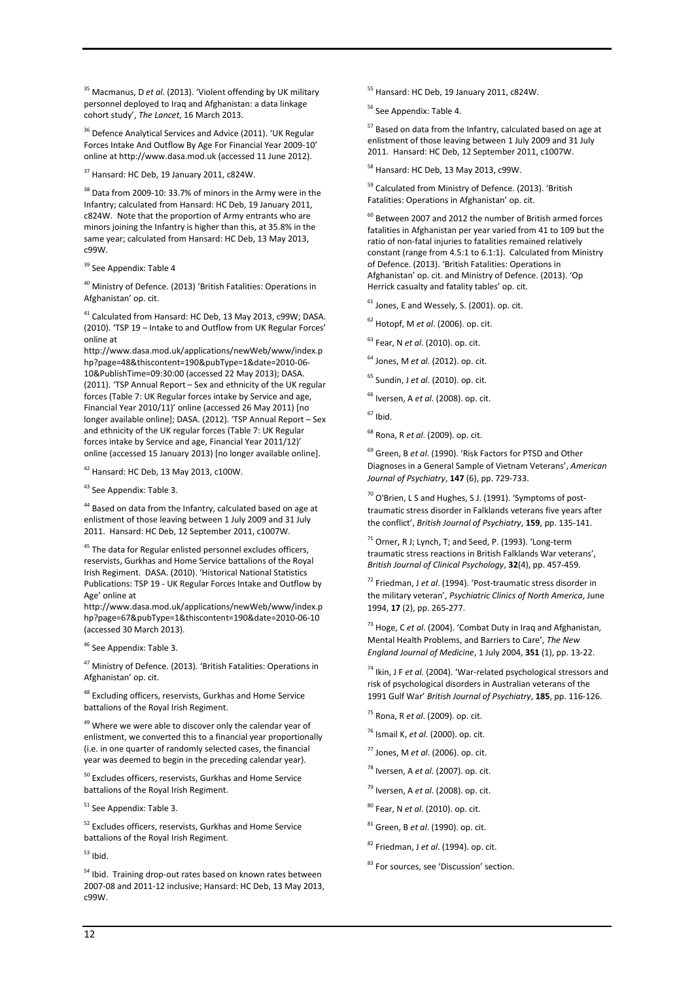<sup>35</sup> Macmanus, D *et al*. (2013). 'Violent offending by UK military personnel deployed to Iraq and Afghanistan: a data linkage cohort study', *The Lancet*, 16 March 2013.

<sup>36</sup> Defence Analytical Services and Advice (2011). 'UK Regular Forces Intake And Outflow By Age For Financial Year 2009-10' online at http://www.dasa.mod.uk (accessed 11 June 2012).

 $37$  Hansard: HC Deb, 19 January 2011, c824W.

<sup>38</sup> Data from 2009-10: 33.7% of minors in the Army were in the Infantry; calculated from Hansard: HC Deb, 19 January 2011, c824W. Note that the proportion of Army entrants who are minors joining the Infantry is higher than this, at 35.8% in the same year; calculated from Hansard: HC Deb, 13 May 2013, c99W.

<sup>39</sup> See Appendix[: Table 4](#page-6-0)

<sup>40</sup> Ministry of Defence. (2013) 'British Fatalities: Operations in Afghanistan' op. cit.

<sup>41</sup> Calculated from Hansard: HC Deb, 13 May 2013, c99W; DASA. (2010). 'TSP 19 – Intake to and Outflow from UK Regular Forces' online at

http://www.dasa.mod.uk/applications/newWeb/www/index.p hp?page=48&thiscontent=190&pubType=1&date=2010-06- 10&PublishTime=09:30:00 (accessed 22 May 2013); DASA. (2011). 'TSP Annual Report – Sex and ethnicity of the UK regular forces (Table 7: UK Regular forces intake by Service and age, Financial Year 2010/11)' online (accessed 26 May 2011) [no longer available online]; DASA. (2012). 'TSP Annual Report – Sex and ethnicity of the UK regular forces (Table 7: UK Regular forces intake by Service and age, Financial Year 2011/12)' online (accessed 15 January 2013) [no longer available online].

<sup>42</sup> Hansard: HC Deb, 13 May 2013, c100W.

43 See Appendix[: Table 3.](#page-6-1)

<sup>44</sup> Based on data from the Infantry, calculated based on age at enlistment of those leaving between 1 July 2009 and 31 July 2011. Hansard: HC Deb, 12 September 2011, c1007W.

<sup>45</sup> The data for Regular enlisted personnel excludes officers, reservists, Gurkhas and Home Service battalions of the Royal Irish Regiment. DASA. (2010). 'Historical National Statistics Publications: TSP 19 - UK Regular Forces Intake and Outflow by Age' online at

http://www.dasa.mod.uk/applications/newWeb/www/index.p hp?page=67&pubType=1&thiscontent=190&date=2010-06-10 (accessed 30 March 2013).

<sup>46</sup> See Appendix[: Table 3.](#page-6-1)

<sup>47</sup> Ministry of Defence. (2013). 'British Fatalities: Operations in Afghanistan' op. cit.

48 Excluding officers, reservists, Gurkhas and Home Service battalions of the Royal Irish Regiment.

 $49$  Where we were able to discover only the calendar year of enlistment, we converted this to a financial year proportionally (i.e. in one quarter of randomly selected cases, the financial year was deemed to begin in the preceding calendar year).

 $50$  Excludes officers, reservists, Gurkhas and Home Service battalions of the Royal Irish Regiment.

<sup>51</sup> See Appendix[: Table 3.](#page-6-1)

<sup>52</sup> Excludes officers, reservists, Gurkhas and Home Service battalions of the Royal Irish Regiment.

 $53$  Ibid.

<sup>54</sup> Ibid. Training drop-out rates based on known rates between 2007-08 and 2011-12 inclusive; Hansard: HC Deb, 13 May 2013, c99W.

<sup>55</sup> Hansard: HC Deb, 19 January 2011, c824W.

<sup>56</sup> See Appendix[: Table 4.](#page-6-0)

<sup>57</sup> Based on data from the Infantry, calculated based on age at enlistment of those leaving between 1 July 2009 and 31 July 2011. Hansard: HC Deb, 12 September 2011, c1007W.

<sup>58</sup> Hansard: HC Deb, 13 May 2013, c99W.

<sup>59</sup> Calculated from Ministry of Defence. (2013). 'British Fatalities: Operations in Afghanistan' op. cit.

 $^{60}$  Between 2007 and 2012 the number of British armed forces fatalities in Afghanistan per year varied from 41 to 109 but the ratio of non-fatal injuries to fatalities remained relatively constant (range from 4.5:1 to 6.1:1). Calculated from Ministry of Defence. (2013). 'British Fatalities: Operations in Afghanistan' op. cit. and Ministry of Defence. (2013). 'Op Herrick casualty and fatality tables' op. cit.

 $61$  Jones, E and Wessely, S. (2001). op. cit.

<sup>62</sup> Hotopf, M *et al*. (2006). op. cit.

<sup>63</sup> Fear, N *et al*. (2010). op. cit.

<sup>64</sup> Jones, M *et al*. (2012). op. cit.

<sup>65</sup> Sundin, J *et al*. (2010). op. cit.

<sup>66</sup> Iversen, A *et al*. (2008). op. cit.

<sup>68</sup> Rona, R *et al*. (2009). op. cit.

<sup>69</sup> Green, B *et al*. (1990). 'Risk Factors for PTSD and Other Diagnoses in a General Sample of Vietnam Veterans', *American Journal of Psychiatry*, **147** (6), pp. 729-733.

 $70$  O'Brien, L S and Hughes, S J. (1991). 'Symptoms of posttraumatic stress disorder in Falklands veterans five years after the conflict', *British Journal of Psychiatry*, **159**, pp. 135-141.

 $71$  Orner, R J; Lynch, T; and Seed, P. (1993). 'Long-term traumatic stress reactions in British Falklands War veterans', *British Journal of Clinical Psychology*, **32**(4), pp. 457-459.

<sup>72</sup> Friedman, J *et al*. (1994). 'Post-traumatic stress disorder in the military veteran', *Psychiatric Clinics of North America*, June 1994, **17** (2), pp. 265-277.

<sup>73</sup> Hoge, C *et al*. (2004). 'Combat Duty in Iraq and Afghanistan, Mental Health Problems, and Barriers to Care', *The New England Journal of Medicine*, 1 July 2004, **351** (1), pp. 13-22.

<sup>74</sup> Ikin, J F *et al.* (2004). 'War-related psychological stressors and risk of psychological disorders in Australian veterans of the 1991 Gulf War' *British Journal of Psychiatry*, **185**, pp. 116-126.

- <sup>75</sup> Rona, R *et al*. (2009). op. cit.
- <sup>76</sup> Ismail K, *et al*. (2000). op. cit.
- <sup>77</sup> Jones, M *et al*. (2006). op. cit.
- <sup>78</sup> Iversen, A *et al*. (2007). op. cit.
- <sup>79</sup> Iversen, A *et al*. (2008). op. cit.
- <sup>80</sup> Fear, N *et al*. (2010). op. cit.
- <sup>81</sup> Green, B *et al*. (1990). op. cit.
- <sup>82</sup> Friedman, J *et al*. (1994). op. cit.

83 For sources, see 'Discussion' section.

 $67$  Ibid.